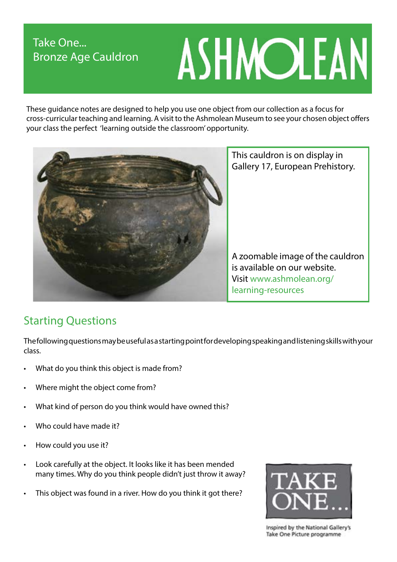# Take One... Bronze Age Cauldron

# ASHMOLEAN

These guidance notes are designed to help you use one object from our collection as a focus for cross-curricular teaching and learning. A visit to the Ashmolean Museum to see your chosen object offers your class the perfect 'learning outside the classroom' opportunity.



This cauldron is on display in Gallery 17, European Prehistory.

A zoomable image of the cauldron is available on our website. Visit www.ashmolean.org/ learning-resources

# Starting Questions

The following questions may be useful as a starting point for developing speaking and listening skills with your class.

- What do you think this object is made from?
- Where might the object come from?
- What kind of person do you think would have owned this?
- Who could have made it?
- How could you use it?
- Look carefully at the object. It looks like it has been mended many times. Why do you think people didn't just throw it away?
- This object was found in a river. How do you think it got there?



Inspired by the National Gallery's Take One Picture programme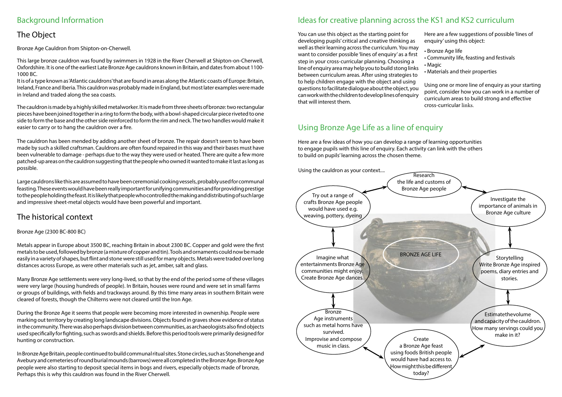# Background Information

# The Object

Bronze Age Cauldron from Shipton-on-Cherwell.

This large bronze cauldron was found by swimmers in 1928 in the River Cherwell at Shipton-on-Cherwell, Oxfordshire. It is one of the earliest Late Bronze Age cauldrons known in Britain, and dates from about 1100- 1000 BC.

It is of a type known as 'Atlantic cauldrons' that are found in areas along the Atlantic coasts of Europe: Britain, Ireland, France and Iberia. This cauldron was probably made in England, but most later examples were made in Ireland and traded along the sea coasts.

The cauldron is made by a highly skilled metalworker. It is made from three sheets of bronze: two rectangular pieces have been joined together in a ring to form the body, with a bowl-shaped circular piece riveted to one side to form the base and the other side reinforced to form the rim and neck. The two handles would make it easier to carry or to hang the cauldron over a fire.

The cauldron has been mended by adding another sheet of bronze. The repair doesn't seem to have been made by such a skilled craftsman. Cauldrons are often found repaired in this way and their bases must have been vulnerable to damage - perhaps due to the way they were used or heated. There are quite a few more patched-up areas on the cauldron suggesting that the people who owned it wanted to make it last as long as possible.

Large cauldrons like this are assumed to have been ceremonial cooking vessels, probably used for communal feasting. These events would have been really important for unifying communities and for providing prestige to the people holding the feast. It is likely that people who controlled the making and distributing of such large and impressive sheet-metal objects would have been powerful and important.

You can use this object as the starting point for developing pupils' critical and creative thinking as well as their learning across the curriculum. You may want to consider possible 'lines of enquiry' as a first step in your cross-curricular planning. Choosing a line of enquiry area may help you to build stong links between curriculum areas. After using strategies to to help children engage with the object and using questions to facilitate dialogue about the object, you can work with the children to develop lines of enquiry that will interest them. Here are a few suggestions of possible 'lines of enquiry' using this object: • Bronze Age life • Community life, feasting and festivals • Magic • Materials and their properties Using one or more line of enquiry as your starting point, consider how you can work in a number of curriculum areas to build strong and effective cross-curricular links.

# Ideas for creative planning across the KS1 and KS2 curriculum

# Using Bronze Age Life as a line of enquiry

Here are a few ideas of how you can develop a range of learning opportunities to engage pupils with this line of enquiry. Each activity can link with the others to build on pupils' learning across the chosen theme.



- 
- 
- 
- 

### Bronze Age (2300 BC-800 BC)

Metals appear in Europe about 3500 BC, reaching Britain in about 2300 BC. Copper and gold were the first metals to be used, followed by bronze (a mixture of copper and tin). Tools and ornaments could now be made easily in a variety of shapes, but flint and stone were still used for many objects. Metals were traded over long distances across Europe, as were other materials such as jet, amber, salt and glass.

Many Bronze Age settlements were very long-lived, so that by the end of the period some of these villages were very large (housing hundreds of people). In Britain, houses were round and were set in small farms or groups of buildings, with fields and trackways around. By this time many areas in southern Britain were cleared of forests, though the Chilterns were not cleared until the Iron Age.

During the Bronze Age it seems that people were becoming more interested in ownership. People were marking out territory by creating long landscape divisions. Objects found in graves show evidence of status in the community. There was also perhaps division between communities, as archaeologists also find objects used specifically for fighting, such as swords and shields. Before this period tools were primarily designed for hunting or construction.

In Bronze Age Britain, people continued to build communal ritual sites. Stone circles, such as Stonehenge and Avebury and cemeteries of round burial mounds (barrows) were all completed in the Bronze Age. Bronze Age people were also starting to deposit special items in bogs and rivers, especially objects made of bronze, Perhaps this is why this cauldron was found in the River Cherwell.